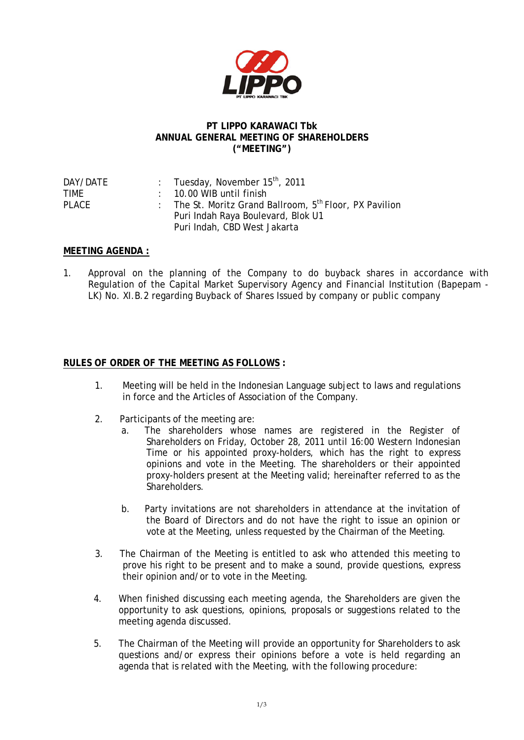

## **PT LIPPO KARAWACI Tbk ANNUAL GENERAL MEETING OF SHAREHOLDERS ("MEETING")**

| DAY/DATE     | : Tuesday, November $15^{th}$ , 2011                                |
|--------------|---------------------------------------------------------------------|
| TIMF         | $: 10.00$ WIB until finish                                          |
| <b>PLACE</b> | : The St. Moritz Grand Ballroom, 5 <sup>th</sup> Floor, PX Pavilion |
|              | Puri Indah Raya Boulevard, Blok U1                                  |
|              | Puri Indah, CBD West Jakarta                                        |

## **MEETING AGENDA :**

1. Approval on the planning of the Company to do buyback shares in accordance with Regulation of the Capital Market Supervisory Agency and Financial Institution (Bapepam - LK) No. XI.B.2 regarding Buyback of Shares Issued by company or public company

## **RULES OF ORDER OF THE MEETING AS FOLLOWS :**

- 1. Meeting will be held in the Indonesian Language subject to laws and regulations in force and the Articles of Association of the Company.
- 2. Participants of the meeting are:
	- a. The shareholders whose names are registered in the Register of Shareholders on Friday, October 28, 2011 until 16:00 Western Indonesian Time or his appointed proxy-holders, which has the right to express opinions and vote in the Meeting. The shareholders or their appointed proxy-holders present at the Meeting valid; hereinafter referred to as the Shareholders.
	- b. Party invitations are not shareholders in attendance at the invitation of the Board of Directors and do not have the right to issue an opinion or vote at the Meeting, unless requested by the Chairman of the Meeting.
- 3. The Chairman of the Meeting is entitled to ask who attended this meeting to prove his right to be present and to make a sound, provide questions, express their opinion and/or to vote in the Meeting.
- 4. When finished discussing each meeting agenda, the Shareholders are given the opportunity to ask questions, opinions, proposals or suggestions related to the meeting agenda discussed.
- 5. The Chairman of the Meeting will provide an opportunity for Shareholders to ask questions and/or express their opinions before a vote is held regarding an agenda that is related with the Meeting, with the following procedure: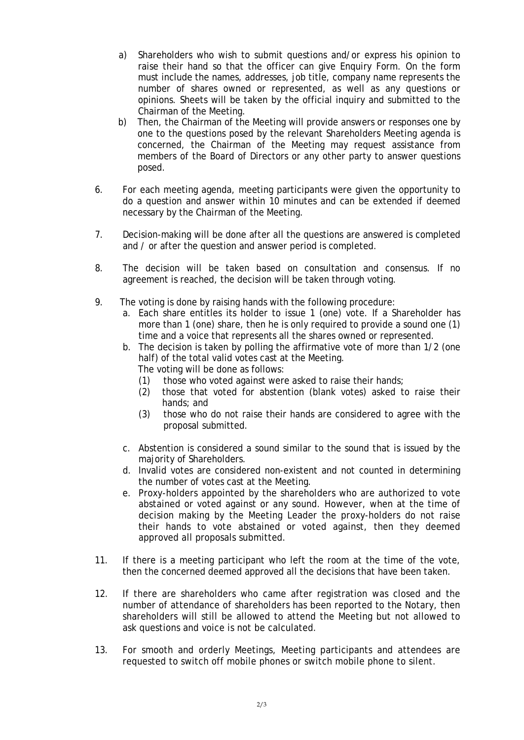- a) Shareholders who wish to submit questions and/or express his opinion to raise their hand so that the officer can give Enquiry Form. On the form must include the names, addresses, job title, company name represents the number of shares owned or represented, as well as any questions or opinions. Sheets will be taken by the official inquiry and submitted to the Chairman of the Meeting.
- b) Then, the Chairman of the Meeting will provide answers or responses one by one to the questions posed by the relevant Shareholders Meeting agenda is concerned, the Chairman of the Meeting may request assistance from members of the Board of Directors or any other party to answer questions posed.
- 6. For each meeting agenda, meeting participants were given the opportunity to do a question and answer within 10 minutes and can be extended if deemed necessary by the Chairman of the Meeting.
- 7. Decision-making will be done after all the questions are answered is completed and / or after the question and answer period is completed.
- 8. The decision will be taken based on consultation and consensus. If no agreement is reached, the decision will be taken through voting.
- 9. The voting is done by raising hands with the following procedure:
	- a. Each share entitles its holder to issue 1 (one) vote. If a Shareholder has more than 1 (one) share, then he is only required to provide a sound one (1) time and a voice that represents all the shares owned or represented.
	- b. The decision is taken by polling the affirmative vote of more than 1/2 (one half) of the total valid votes cast at the Meeting.
		- The voting will be done as follows:
		- (1) those who voted against were asked to raise their hands;
		- (2) those that voted for abstention (blank votes) asked to raise their hands; and
		- (3) those who do not raise their hands are considered to agree with the proposal submitted.
	- c. Abstention is considered a sound similar to the sound that is issued by the majority of Shareholders.
	- d. Invalid votes are considered non-existent and not counted in determining the number of votes cast at the Meeting.
	- e. Proxy-holders appointed by the shareholders who are authorized to vote abstained or voted against or any sound. However, when at the time of decision making by the Meeting Leader the proxy-holders do not raise their hands to vote abstained or voted against, then they deemed approved all proposals submitted.
- 11. If there is a meeting participant who left the room at the time of the vote, then the concerned deemed approved all the decisions that have been taken.
- 12. If there are shareholders who came after registration was closed and the number of attendance of shareholders has been reported to the Notary, then shareholders will still be allowed to attend the Meeting but not allowed to ask questions and voice is not be calculated.
- 13. For smooth and orderly Meetings, Meeting participants and attendees are requested to switch off mobile phones or switch mobile phone to silent.